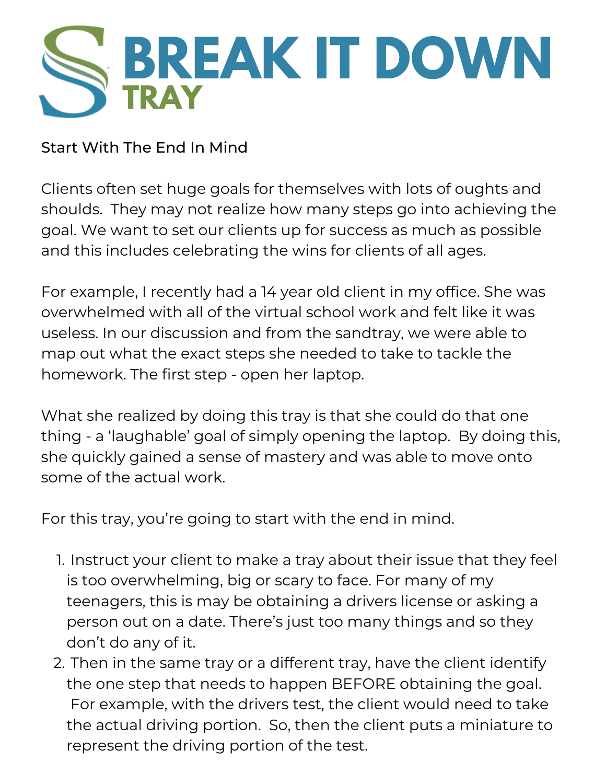

Start With The End In Mind

Clients often set huge goals for themselves with lots of oughts and shoulds. They may not realize how many steps go into achieving the goal. We want to set our clients up for success as much as possible and this includes celebrating the wins for clients of all ages.

For example, I recently had a 14 year old client in my office. She was overwhelmed with all of the virtual school work and felt like it was useless. In our discussion and from the sandtray, we were able to map out what the exact steps she needed to take to tackle the homework. The first step - open her laptop.

What she realized by doing this tray is that she could do that one thing - a 'laughable' goal of simply opening the laptop. By doing this, she quickly gained a sense of mastery and was able to move onto some of the actual work.

For this tray, you're going to start with the end in mind.

- 1. Instruct your client to make a tray about their issue that they feel is too overwhelming, big or scary to face. For many of my teenagers, this is may be obtaining a drivers license or asking a person out on a date. There's just too many things and so they don't do any of it.
- 2. Then in the same tray or a different tray, have the client identify the one step that needs to happen BEFORE obtaining the goal. For example, with the drivers test, the client would need to take the actual driving portion. So, then the client puts a miniature to represent the driving portion of the test.